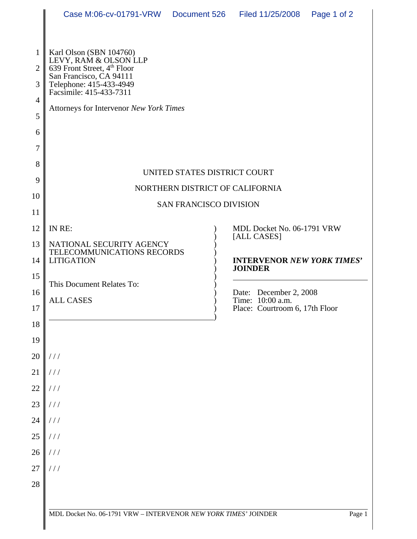|                                | Case M:06-cv-01791-VRW                                                                                                       |  | Document 526 Filed 11/25/2008                                                 | Page 1 of 2 |  |
|--------------------------------|------------------------------------------------------------------------------------------------------------------------------|--|-------------------------------------------------------------------------------|-------------|--|
|                                |                                                                                                                              |  |                                                                               |             |  |
| $\mathbf{1}$<br>$\overline{2}$ | Karl Olson (SBN 104760)<br>LEVY, RAM & OLSON LLP<br>639 Front Street, 4 <sup>th</sup> Floor                                  |  |                                                                               |             |  |
| 3                              | San Francisco, CA 94111<br>Telephone: 415-433-4949<br>Facsimile: 415-433-7311                                                |  |                                                                               |             |  |
| $\overline{4}$                 | Attorneys for Intervenor New York Times                                                                                      |  |                                                                               |             |  |
| 5                              |                                                                                                                              |  |                                                                               |             |  |
| 6<br>$\tau$                    |                                                                                                                              |  |                                                                               |             |  |
| 8                              |                                                                                                                              |  |                                                                               |             |  |
| 9                              | UNITED STATES DISTRICT COURT                                                                                                 |  |                                                                               |             |  |
| 10                             | NORTHERN DISTRICT OF CALIFORNIA<br><b>SAN FRANCISCO DIVISION</b>                                                             |  |                                                                               |             |  |
| 11                             |                                                                                                                              |  |                                                                               |             |  |
| 12                             | IN RE:                                                                                                                       |  | MDL Docket No. 06-1791 VRW<br>[ALL CASES]                                     |             |  |
| 13                             | NATIONAL SECURITY AGENCY<br>TELECOMMUNICATIONS RECORDS<br><b>LITIGATION</b><br>This Document Relates To:<br><b>ALL CASES</b> |  | <b>INTERVENOR NEW YORK TIMES'</b><br><b>JOINDER</b><br>Date: December 2, 2008 |             |  |
| 14                             |                                                                                                                              |  |                                                                               |             |  |
| 15<br>16                       |                                                                                                                              |  |                                                                               |             |  |
| 17                             |                                                                                                                              |  | Time: 10:00 a.m.<br>Place: Courtroom 6, 17th Floor                            |             |  |
| $18\,$                         |                                                                                                                              |  |                                                                               |             |  |
| 19                             |                                                                                                                              |  |                                                                               |             |  |
| 20                             | 111                                                                                                                          |  |                                                                               |             |  |
|                                | $21$ ///                                                                                                                     |  |                                                                               |             |  |
|                                | $22$ ///                                                                                                                     |  |                                                                               |             |  |
|                                | $23$ ///                                                                                                                     |  |                                                                               |             |  |
|                                | $24$ ///                                                                                                                     |  |                                                                               |             |  |
|                                | $25$ ///                                                                                                                     |  |                                                                               |             |  |
|                                | $26$ ///                                                                                                                     |  |                                                                               |             |  |
|                                | $27$ ///                                                                                                                     |  |                                                                               |             |  |
| 28                             |                                                                                                                              |  |                                                                               |             |  |
|                                |                                                                                                                              |  |                                                                               |             |  |